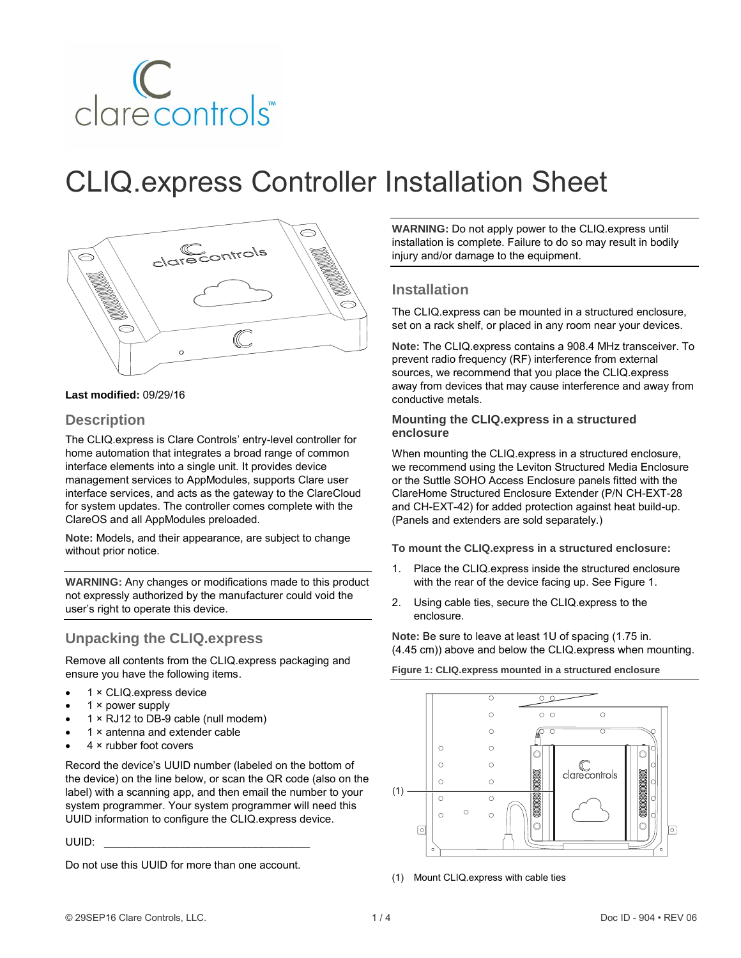

# CLIQ.express Controller Installation Sheet



#### **Last modified:** 09/29/16

#### **Description**

The CLIQ.express is Clare Controls' entry-level controller for home automation that integrates a broad range of common interface elements into a single unit. It provides device management services to AppModules, supports Clare user interface services, and acts as the gateway to the ClareCloud for system updates. The controller comes complete with the ClareOS and all AppModules preloaded.

**Note:** Models, and their appearance, are subject to change without prior notice.

**WARNING:** Any changes or modifications made to this product not expressly authorized by the manufacturer could void the user's right to operate this device.

### **Unpacking the CLIQ.express**

Remove all contents from the CLIQ.express packaging and ensure you have the following items.

- 1 × CLIQ.express device
- 1 × power supply
- 1 × RJ12 to DB-9 cable (null modem)
- 1 × antenna and extender cable
- 4 × rubber foot covers

Record the device's UUID number (labeled on the bottom of the device) on the line below, or scan the QR code (also on the label) with a scanning app, and then email the number to your system programmer. Your system programmer will need this UUID information to configure the CLIQ.express device.

UUID: \_\_\_\_\_\_\_\_\_\_\_\_\_\_\_\_\_\_\_\_\_\_\_\_\_\_\_\_\_\_\_\_\_\_

Do not use this UUID for more than one account.

**WARNING:** Do not apply power to the CLIQ.express until installation is complete. Failure to do so may result in bodily injury and/or damage to the equipment.

## **Installation**

The CLIQ.express can be mounted in a structured enclosure, set on a rack shelf, or placed in any room near your devices.

**Note:** The CLIQ.express contains a 908.4 MHz transceiver. To prevent radio frequency (RF) interference from external sources, we recommend that you place the CLIQ.express away from devices that may cause interference and away from conductive metals.

#### **Mounting the CLIQ.express in a structured enclosure**

When mounting the CLIQ.express in a structured enclosure, we recommend using the Leviton Structured Media Enclosure or the Suttle SOHO Access Enclosure panels fitted with the ClareHome Structured Enclosure Extender (P/N CH-EXT-28 and CH-EXT-42) for added protection against heat build-up. (Panels and extenders are sold separately.)

**To mount the CLIQ.express in a structured enclosure:**

- 1. Place the CLIQ.express inside the structured enclosure with the rear of the device facing up. Se[e Figure](#page-0-0) 1.
- 2. Using cable ties, secure the CLIQ.express to the enclosure.

**Note:** Be sure to leave at least 1U of spacing (1.75 in. (4.45 cm)) above and below the CLIQ.express when mounting.

<span id="page-0-0"></span>**Figure 1: CLIQ.express mounted in a structured enclosure**



(1) Mount CLIQ.express with cable ties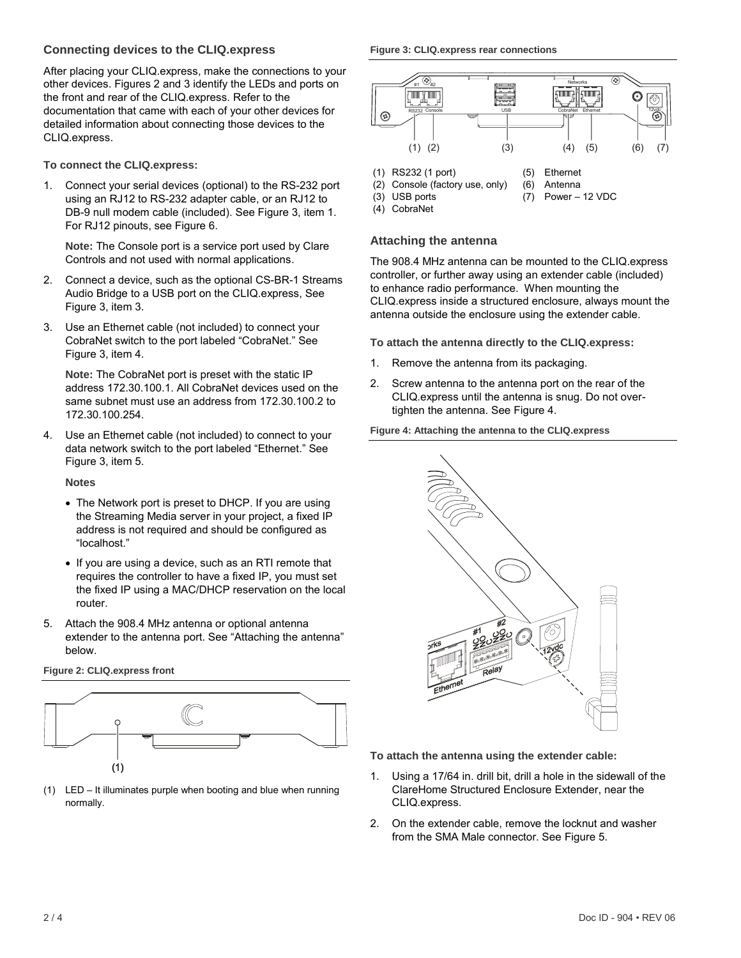#### **Connecting devices to the CLIQ.express**

After placing your CLIQ.express, make the connections to your other devices. Figures 2 and 3 identify the LEDs and ports on the front and rear of the CLIQ.express. Refer to the documentation that came with each of your other devices for detailed information about connecting those devices to the CLIQ.express.

**To connect the CLIQ.express:**

1. Connect your serial devices (optional) to the RS-232 port using an RJ12 to RS-232 adapter cable, or an RJ12 to DB-9 null modem cable (included). See [Figure](#page-1-0) 3, item 1. For RJ12 pinouts, se[e Figure](#page-2-0) 6.

**Note:** The Console port is a service port used by Clare Controls and not used with normal applications.

- 2. Connect a device, such as the optional CS-BR-1 Streams Audio Bridge to a USB port on the CLIQ.express, See [Figure](#page-1-0) 3, item 3.
- 3. Use an Ethernet cable (not included) to connect your CobraNet switch to the port labeled "CobraNet." See [Figure](#page-1-0) 3, item 4.

**Note:** The CobraNet port is preset with the static IP address 172.30.100.1. All CobraNet devices used on the same subnet must use an address from 172.30.100.2 to 172.30.100.254.

4. Use an Ethernet cable (not included) to connect to your data network switch to the port labeled "Ethernet." See [Figure](#page-1-0) 3, item 5.

**Notes**

- The Network port is preset to DHCP. If you are using the Streaming Media server in your project, a fixed IP address is not required and should be configured as "localhost."
- If you are using a device, such as an RTI remote that requires the controller to have a fixed IP, you must set the fixed IP using a MAC/DHCP reservation on the local router.
- 5. Attach the 908.4 MHz antenna or optional antenna extender to the antenna port. See ["Attaching the](#page-1-1) antenna" below.

#### <span id="page-1-3"></span>**Figure 2: CLIQ.express front**



(1) LED – It illuminates purple when booting and blue when running normally.

<span id="page-1-0"></span>**Figure 3: CLIQ.express rear connections**



#### <span id="page-1-1"></span>**Attaching the antenna**

The 908.4 MHz antenna can be mounted to the CLIQ.express controller, or further away using an extender cable (included) to enhance radio performance. When mounting the CLIQ.express inside a structured enclosure, always mount the antenna outside the enclosure using the extender cable.

**To attach the antenna directly to the CLIQ.express:**

- 1. Remove the antenna from its packaging.
- 2. Screw antenna to the antenna port on the rear of the CLIQ.express until the antenna is snug. Do not overtighten the antenna. Se[e Figure](#page-1-2) 4.

<span id="page-1-2"></span>**Figure 4: Attaching the antenna to the CLIQ.express**



**To attach the antenna using the extender cable:**

- 1. Using a 17/64 in. drill bit, drill a hole in the sidewall of the ClareHome Structured Enclosure Extender, near the CLIQ.express.
- 2. On the extender cable, remove the locknut and washer from the SMA Male connector. Se[e Figure](#page-2-1) 5.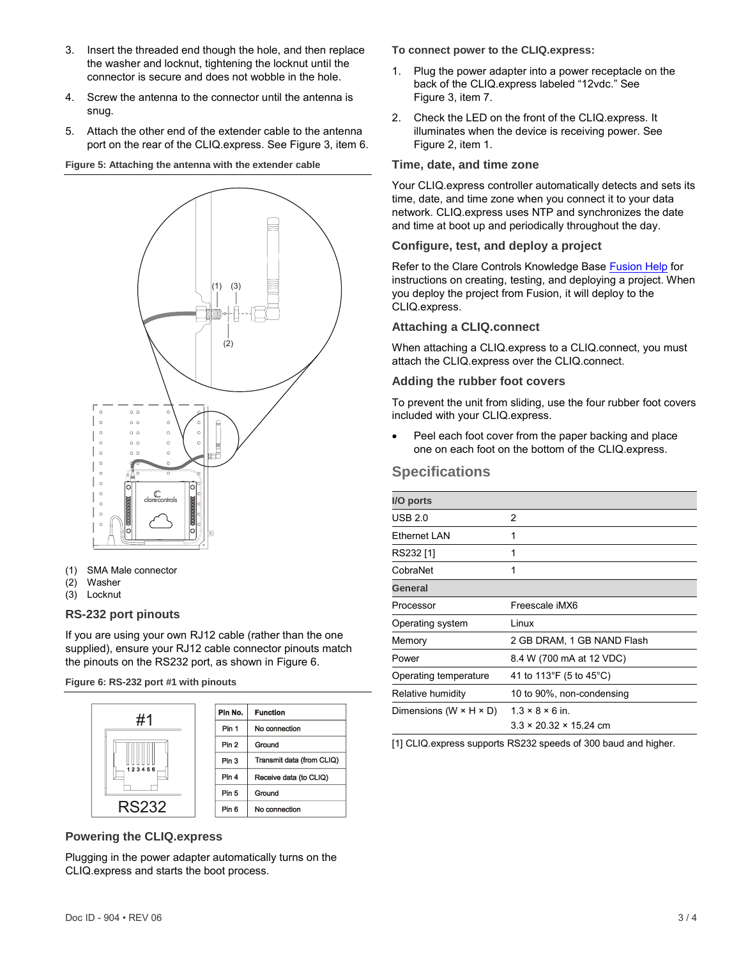- 3. Insert the threaded end though the hole, and then replace the washer and locknut, tightening the locknut until the connector is secure and does not wobble in the hole.
- 4. Screw the antenna to the connector until the antenna is snug.
- 5. Attach the other end of the extender cable to the antenna port on the rear of the CLIQ.express. Se[e Figure](#page-1-0) 3, item 6.

#### <span id="page-2-1"></span>**Figure 5: Attaching the antenna with the extender cable**



- (1) SMA Male connector
- (2) Washer
- (3) Locknut

#### **RS-232 port pinouts**

If you are using your own RJ12 cable (rather than the one supplied), ensure your RJ12 cable connector pinouts match the pinouts on the RS232 port, as shown i[n Figure](#page-2-0) 6.

<span id="page-2-0"></span>**Figure 6: RS-232 port #1 with pinouts**



#### **Powering the CLIQ.express**

Plugging in the power adapter automatically turns on the CLIQ.express and starts the boot process.

**To connect power to the CLIQ.express:**

- 1. Plug the power adapter into a power receptacle on the back of the CLIQ.express labeled "12vdc." See [Figure](#page-1-0) 3, item 7.
- 2. Check the LED on the front of the CLIQ.express. It illuminates when the device is receiving power. See [Figure](#page-1-3) 2, item 1.

#### **Time, date, and time zone**

Your CLIQ.express controller automatically detects and sets its time, date, and time zone when you connect it to your data network. CLIQ.express uses NTP and synchronizes the date and time at boot up and periodically throughout the day.

#### **Configure, test, and deploy a project**

Refer to the Clare Controls Knowledge Base **[Fusion Help](https://knowledgebaseclarecontrols.atlassian.net/wiki/display/FH/Fusion+Configuration+Tool)** for instructions on creating, testing, and deploying a project. When you deploy the project from Fusion, it will deploy to the CLIQ.express.

#### **Attaching a CLIQ.connect**

When attaching a CLIQ.express to a CLIQ.connect, you must attach the CLIQ.express over the CLIQ.connect.

#### **Adding the rubber foot covers**

To prevent the unit from sliding, use the four rubber foot covers included with your CLIQ.express.

• Peel each foot cover from the paper backing and place one on each foot on the bottom of the CLIQ.express.

## **Specifications**

| I/O ports                            |                                    |
|--------------------------------------|------------------------------------|
| USB 2.0                              | 2                                  |
| <b>Ethernet LAN</b>                  | 1                                  |
| RS232 [1]                            | 1                                  |
| CobraNet                             | 1                                  |
| General                              |                                    |
| Processor                            | Freescale iMX6                     |
| Operating system                     | Linux                              |
| Memory                               | 2 GB DRAM, 1 GB NAND Flash         |
| Power                                | 8.4 W (700 mA at 12 VDC)           |
| Operating temperature                | 41 to 113°F (5 to 45°C)            |
| Relative humidity                    | 10 to 90%, non-condensing          |
| Dimensions (W $\times$ H $\times$ D) | $1.3 \times 8 \times 6$ in         |
|                                      | $3.3 \times 20.32 \times 15.24$ cm |

[1] CLIQ.express supports RS232 speeds of 300 baud and higher.